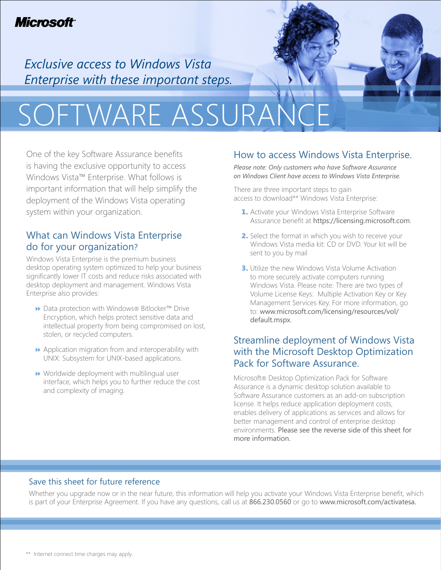# **Microsoft**

*Exclusive access to Windows Vista Enterprise with these important steps.*

# SOFTWARE ASSURAN

One of the key Software Assurance benefits is having the exclusive opportunity to access Windows Vista™ Enterprise. What follows is important information that will help simplify the deployment of the Windows Vista operating system within your organization.

## What can Windows Vista Enterprise do for your organization?

Windows Vista Enterprise is the premium business desktop operating system optimized to help your business significantly lower IT costs and reduce risks associated with desktop deployment and management. Windows Vista Enterprise also provides:

- Data protection with Windows® Bitlocker™ Drive Encryption, which helps protect sensitive data and intellectual property from being compromised on lost, stolen, or recycled computers.
- $\rightarrow$  Application migration from and interoperability with UNIX: Subsystem for UNIX-based applications.
- $\rightarrow$  Worldwide deployment with multilingual user interface, which helps you to further reduce the cost and complexity of imaging.

# How to access Windows Vista Enterprise.

*Please note: Only customers who have Software Assurance on Windows Client have access to Windows Vista Enterprise.* 

There are three important steps to gain access to download\*\* Windows Vista Enterprise:

- 1. Activate your Windows Vista Enterprise Software Assurance benefit at https://licensing.microsoft.com.
- 2. Select the format in which you wish to receive your Windows Vista media kit: CD or DVD. Your kit will be sent to you by mail
- **3.** Utilize the new Windows Vista Volume Activation to more securely activate computers running Windows Vista. Please note: There are two types of Volume License Keys: Multiple Activation Key or Key Management Services Key. For more information, go to: www.microsoft.com/licensing/resources/vol/ default.mspx.

# Streamline deployment of Windows Vista with the Microsoft Desktop Optimization Pack for Software Assurance.

Microsoft® Desktop Optimization Pack for Software Assurance is a dynamic desktop solution available to Software Assurance customers as an add-on subscription license. It helps reduce application deployment costs, enables delivery of applications as services and allows for better management and control of enterprise desktop environments. Please see the reverse side of this sheet for more information.

#### Save this sheet for future reference

Whether you upgrade now or in the near future, this information will help you activate your Windows Vista Enterprise benefit, which is part of your Enterprise Agreement. If you have any questions, call us at 866.230.0560 or go to www.microsoft.com/activatesa.